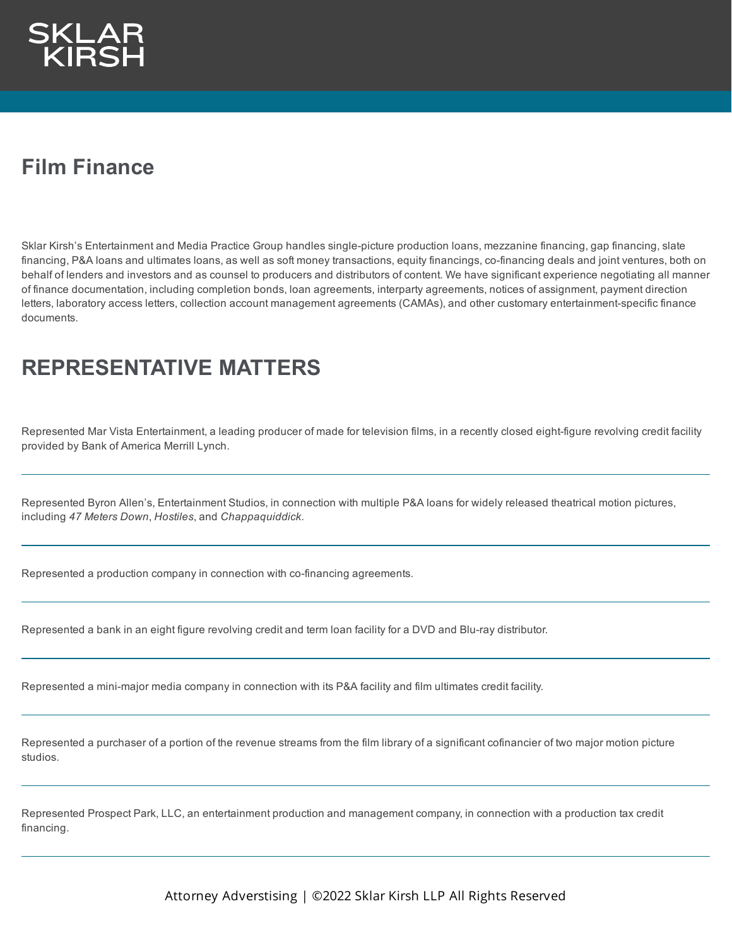

## **Film Finance**

Sklar Kirsh's Entertainment and Media Practice Group handles single-picture production loans, mezzanine financing, gap financing, slate financing, P&A loans and ultimates loans, as well as soft money transactions, equity financings, co-financing deals and joint ventures, both on behalf of lenders and investors and as counsel to producers and distributors of content. We have significant experience negotiating all manner of finance documentation, including completion bonds, loan agreements, interparty agreements, notices of assignment, payment direction letters, laboratory access letters, collection account management agreements (CAMAs), and other customary entertainment-specific finance documents.

## **REPRESENTATIVE MATTERS**

Represented Mar Vista Entertainment, a leading producer of made for television films, in a recently closed eight-figure revolving credit facility provided by Bank of America Merrill Lynch.

Represented Byron Allen's, Entertainment Studios, in connection with multiple P&A loans for widely released theatrical motion pictures, including *47 Meters Down*, *Hostiles*, and *Chappaquiddick*.

Represented a production company in connection with co-financing agreements.

Represented a bank in an eight figure revolving credit and term loan facility for a DVD and Blu-ray distributor.

Represented a mini-major media company in connection with its P&A facility and film ultimates credit facility.

Represented a purchaser of a portion of the revenue streams from the film library of a significant cofinancier of two major motion picture studios.

Represented Prospect Park, LLC, an entertainment production and management company, in connection with a production tax credit financing.